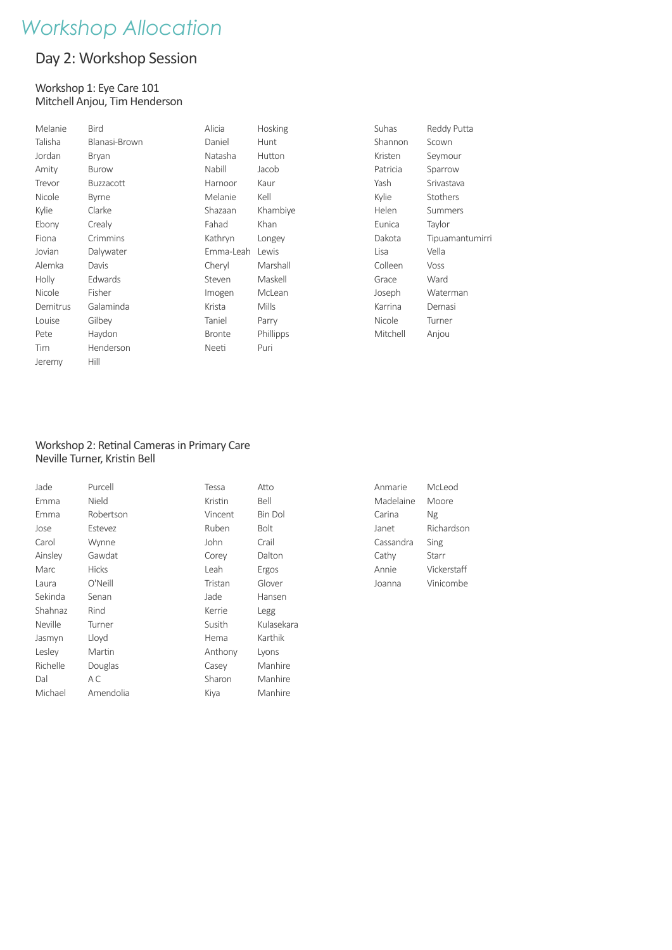## Day 2: Workshop Session

#### Workshop 1: Eye Care 101 Mitchell Anjou, Tim Henderson

| Melanie  | <b>Bird</b>   | Alicia        | Hosking   | Suhas    | Reddy Putta     |
|----------|---------------|---------------|-----------|----------|-----------------|
| Talisha  | Blanasi-Brown | Daniel        | Hunt      | Shannon  | Scown           |
| Jordan   | <b>Bryan</b>  | Natasha       | Hutton    | Kristen  | Seymour         |
| Amity    | <b>Burow</b>  | Nabill        | Jacob     | Patricia | Sparrow         |
| Trevor   | Buzzacott     | Harnoor       | Kaur      | Yash     | Srivastava      |
| Nicole   | Byrne         | Melanie       | Kell      | Kylie    | Stothers        |
| Kylie    | Clarke        | Shazaan       | Khambiye  | Helen    | <b>Summers</b>  |
| Ebony    | Crealy        | Fahad         | Khan      | Eunica   | Taylor          |
| Fiona    | Crimmins      | Kathryn       | Longey    | Dakota   | Tipuamantumirri |
| Jovian   | Dalywater     | Emma-Leah     | Lewis     | Lisa     | Vella           |
| Alemka   | Davis         | Cheryl        | Marshall  | Colleen  | Voss            |
| Holly    | Edwards       | Steven        | Maskell   | Grace    | Ward            |
| Nicole   | Fisher        | Imogen        | McLean    | Joseph   | Waterman        |
| Demitrus | Galaminda     | Krista        | Mills     | Karrina  | Demasi          |
| Louise   | Gilbey        | Taniel        | Parry     | Nicole   | Turner          |
| Pete     | Haydon        | <b>Bronte</b> | Phillipps | Mitchell | Anjou           |
| Tim      | Henderson     | Neeti         | Puri      |          |                 |
| Jeremy   | Hill          |               |           |          |                 |

#### Workshop 2: Retinal Cameras in Primary Care Neville Turner, Kristin Bell

| Jade     | Purcell      | Tessa   | Atto           |
|----------|--------------|---------|----------------|
| Emma     | Nield        | Kristin | Bell           |
| Emma     | Robertson    | Vincent | <b>Bin Dol</b> |
| Jose     | Estevez      | Ruben   | <b>Bolt</b>    |
| Carol    | Wynne        | John    | Crail          |
| Ainsley  | Gawdat       | Corey   | Dalton         |
| Marc     | <b>Hicks</b> | Leah    | Ergos          |
| Laura    | O'Neill      | Tristan | Glover         |
| Sekinda  | Senan        | Jade    | Hansen         |
| Shahnaz  | Rind         | Kerrie  | Legg           |
| Neville  | Turner       | Susith  | Kulasekara     |
| Jasmyn   | Lloyd        | Hema    | Karthik        |
| Lesley   | Martin       | Anthony | Lyons          |
| Richelle | Douglas      | Casey   | Manhire        |
| Dal      | A C          | Sharon  | Manhire        |
| Michael  | Amendolia    | Kiya    | Manhire        |
|          |              |         |                |

| Anmarie   | McLeod      |
|-----------|-------------|
| Madelaine | Moore       |
| Carina    | Ng          |
| Janet     | Richardson  |
| Cassandra | Sing        |
| Cathy     | Starr       |
| Annie     | Vickerstaff |
| Joanna    | Vinicombe   |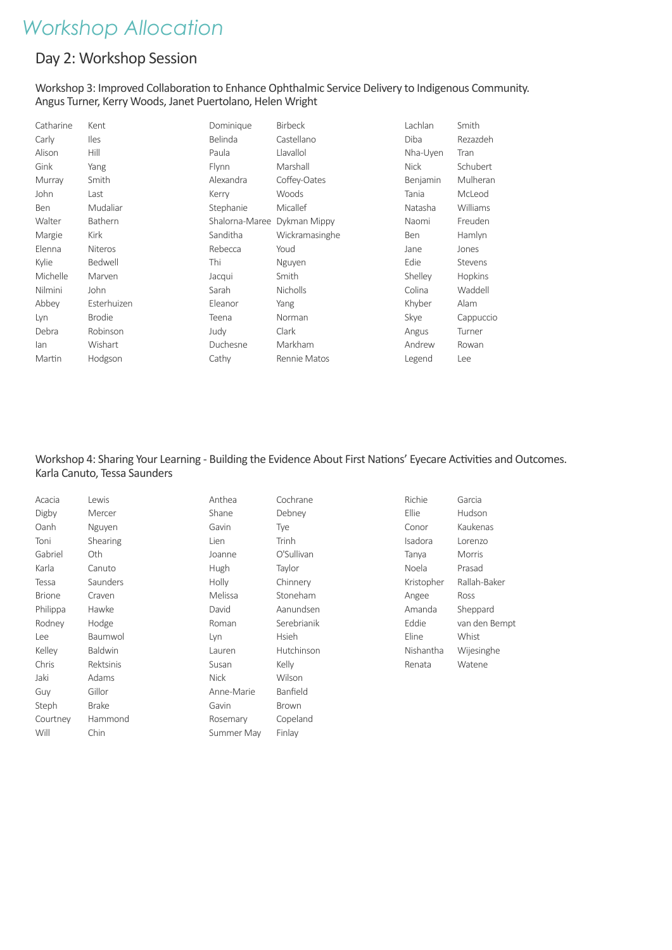### Day 2: Workshop Session

#### Workshop 3: Improved Collaboration to Enhance Ophthalmic Service Delivery to Indigenous Community. Angus Turner, Kerry Woods, Janet Puertolano, Helen Wright

| Catharine  | Kent           | Dominique      | <b>Birbeck</b>  | Lachlan     | Smith       |
|------------|----------------|----------------|-----------------|-------------|-------------|
| Carly      | <b>Iles</b>    | Belinda        | Castellano      | Diba        | Rezazdeh    |
| Alison     | Hill           | Paula          | Llavallol       | Nha-Uyen    | <b>Tran</b> |
| Gink       | Yang           | Flynn          | Marshall        | <b>Nick</b> | Schubert    |
| Murray     | Smith          | Alexandra      | Coffey-Oates    | Benjamin    | Mulheran    |
| John       | Last           | Kerry          | Woods           | Tania       | McLeod      |
| <b>Ben</b> | Mudaliar       | Stephanie      | Micallef        | Natasha     | Williams    |
| Walter     | Bathern        | Shalorna-Maree | Dykman Mippy    | Naomi       | Freuden     |
| Margie     | Kirk           | Sanditha       | Wickramasinghe  | Ben         | Hamlyn      |
| Elenna     | <b>Niteros</b> | Rebecca        | Youd            | Jane        | Jones       |
| Kylie      | Bedwell        | Thi            | Nguyen          | Edie        | Stevens     |
| Michelle   | Marven         | Jacqui         | Smith           | Shelley     | Hopkins     |
| Nilmini    | John           | Sarah          | <b>Nicholls</b> | Colina      | Waddell     |
| Abbey      | Esterhuizen    | Eleanor        | Yang            | Khyber      | Alam        |
| Lyn        | <b>Brodie</b>  | Teena          | Norman          | Skye        | Cappuccio   |
| Debra      | Robinson       | Judy           | Clark           | Angus       | Turner      |
| lan        | Wishart        | Duchesne       | Markham         | Andrew      | Rowan       |
| Martin     | Hodgson        | Cathy          | Rennie Matos    | Legend      | Lee         |

### Workshop 4: Sharing Your Learning - Building the Evidence About First Nations' Eyecare Activities and Outcomes. Karla Canuto, Tessa Saunders

| Acacia        | Lewis          | Anthea      | Cochrane     | Richie     | Garcia        |
|---------------|----------------|-------------|--------------|------------|---------------|
| Digby         | Mercer         | Shane       | Debney       | Ellie      | Hudson        |
| Oanh          | Nguyen         | Gavin       | Tye          | Conor      | Kaukenas      |
| Toni          | Shearing       | Lien        | Trinh        | Isadora    | Lorenzo       |
| Gabriel       | Oth.           | Joanne      | O'Sullivan   | Tanya      | Morris        |
| Karla         | Canuto         | Hugh        | Taylor       | Noela      | Prasad        |
| Tessa         | Saunders       | Holly       | Chinnery     | Kristopher | Rallah-Baker  |
| <b>Brione</b> | Craven         | Melissa     | Stoneham     | Angee      | Ross          |
| Philippa      | Hawke          | David       | Aanundsen    | Amanda     | Sheppard      |
| Rodney        | Hodge          | Roman       | Serebrianik  | Eddie      | van den Bempt |
| Lee           | Baumwol        | Lyn         | <b>Hsieh</b> | Eline      | Whist         |
| Kelley        | <b>Baldwin</b> | Lauren      | Hutchinson   | Nishantha  | Wijesinghe    |
| Chris         | Rektsinis      | Susan       | Kelly        | Renata     | Watene        |
| Jaki          | Adams          | <b>Nick</b> | Wilson       |            |               |
| Guy           | Gillor         | Anne-Marie  | Banfield     |            |               |
| Steph         | <b>Brake</b>   | Gavin       | <b>Brown</b> |            |               |
| Courtney      | Hammond        | Rosemary    | Copeland     |            |               |
| Will          | Chin           | Summer May  | Finlay       |            |               |
|               |                |             |              |            |               |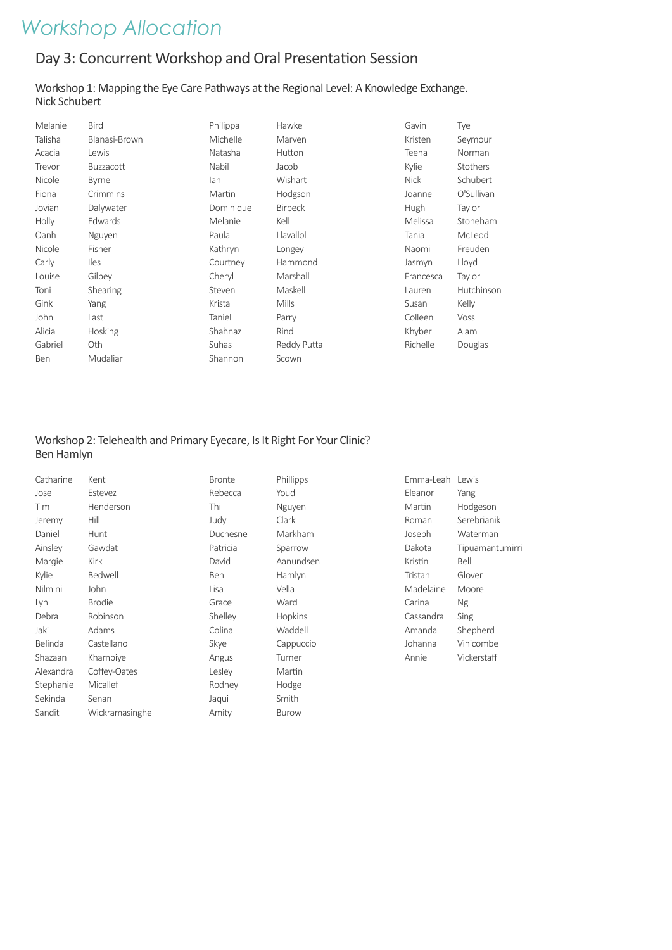## Day 3: Concurrent Workshop and Oral Presentation Session

#### Workshop 1: Mapping the Eye Care Pathways at the Regional Level: A Knowledge Exchange. Nick Schubert

| Melanie | <b>Bird</b>      | Philippa  | Hawke          | Gavin       | Tye             |
|---------|------------------|-----------|----------------|-------------|-----------------|
| Talisha | Blanasi-Brown    | Michelle  | Marven         | Kristen     | Seymour         |
| Acacia  | Lewis            | Natasha   | Hutton         | Teena       | Norman          |
| Trevor  | <b>Buzzacott</b> | Nabil     | Jacob          | Kylie       | <b>Stothers</b> |
| Nicole  | <b>Byrne</b>     | lan       | Wishart        | <b>Nick</b> | Schubert        |
| Fiona   | Crimmins         | Martin    | Hodgson        | Joanne      | O'Sullivan      |
| Jovian  | Dalywater        | Dominique | <b>Birbeck</b> | Hugh        | Taylor          |
| Holly   | Edwards          | Melanie   | Kell           | Melissa     | Stoneham        |
| Oanh    | Nguyen           | Paula     | Llavallol      | Tania       | McLeod          |
| Nicole  | Fisher           | Kathryn   | Longey         | Naomi       | Freuden         |
| Carly   | lles             | Courtney  | Hammond        | Jasmyn      | Lloyd           |
| Louise  | Gilbey           | Cheryl    | Marshall       | Francesca   | Taylor          |
| Toni    | Shearing         | Steven    | Maskell        | Lauren      | Hutchinson      |
| Gink    | Yang             | Krista    | <b>Mills</b>   | Susan       | Kelly           |
| John    | Last             | Taniel    | Parry          | Colleen     | Voss            |
| Alicia  | <b>Hosking</b>   | Shahnaz   | Rind           | Khyber      | Alam            |
| Gabriel | Oth              | Suhas     | Reddy Putta    | Richelle    | Douglas         |
| Ben     | Mudaliar         | Shannon   | Scown          |             |                 |

### Workshop 2: Telehealth and Primary Eyecare, Is It Right For Your Clinic? Ben Hamlyn

| Catharine | Kent           | <b>Bronte</b> | Phillipps    | Emma-Leah Lewis |                 |
|-----------|----------------|---------------|--------------|-----------------|-----------------|
| Jose      | Estevez        | Rebecca       | Youd         | Eleanor         | Yang            |
| Tim       | Henderson      | Thi           | Nguyen       | Martin          | Hodgeson        |
| Jeremy    | Hill           | Judy          | Clark        | Roman           | Serebrianik     |
| Daniel    | Hunt           | Duchesne      | Markham      | Joseph          | Waterman        |
| Ainsley   | Gawdat         | Patricia      | Sparrow      | Dakota          | Tipuamantumirri |
| Margie    | <b>Kirk</b>    | David         | Aanundsen    | Kristin         | Bell            |
| Kylie     | Bedwell        | <b>Ben</b>    | Hamlyn       | Tristan         | Glover          |
| Nilmini   | John           | Lisa          | Vella        | Madelaine       | Moore           |
| Lyn       | <b>Brodie</b>  | Grace         | Ward         | Carina          | Ng              |
| Debra     | Robinson       | Shelley       | Hopkins      | Cassandra       | Sing            |
| Jaki      | Adams          | Colina        | Waddell      | Amanda          | Shepherd        |
| Belinda   | Castellano     | Skye          | Cappuccio    | Johanna         | Vinicombe       |
| Shazaan   | Khambiye       | Angus         | Turner       | Annie           | Vickerstaff     |
| Alexandra | Coffey-Oates   | Lesley        | Martin       |                 |                 |
| Stephanie | Micallef       | Rodney        | Hodge        |                 |                 |
| Sekinda   | Senan          | Jaqui         | Smith        |                 |                 |
| Sandit    | Wickramasinghe | Amity         | <b>Burow</b> |                 |                 |
|           |                |               |              |                 |                 |